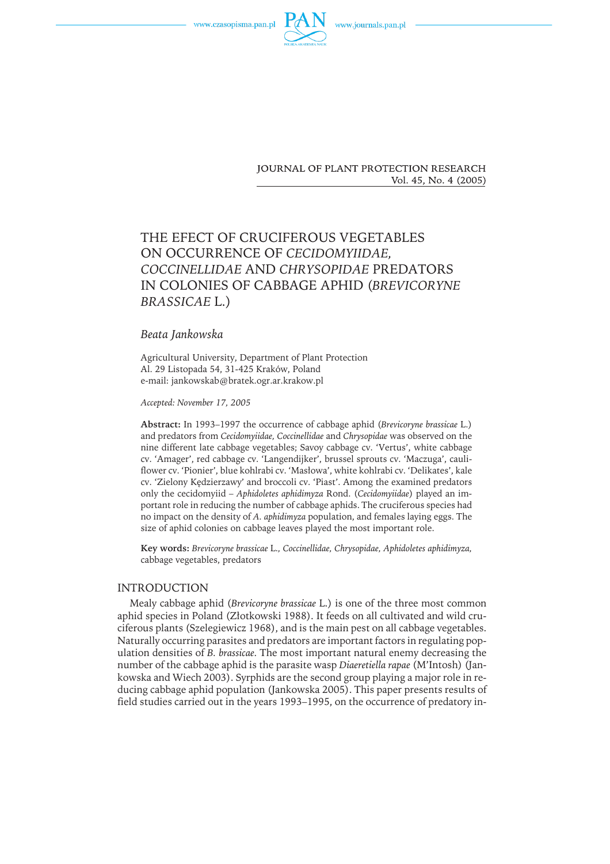



JOURNAL OF PLANT PROTECTION RESEARCH Vol. 45, No. 4 (2005)

# THE EFECT OF CRUCIFEROUS VEGETABLES ON OCCURRENCE OF *CECIDOMYIIDAE, COCCINELLIDAE* AND *CHRYSOPIDAE* PREDATORS IN COLONIES OF CABBAGE APHID (*BREVICORYNE BRASSICAE* L.)

## *Beata Jankowska*

Agricultural University, Department of Plant Protection Al. 29 Listopada 54, 31-425 Kraków, Poland e-mail: jankowskab@bratek.ogr.ar.krakow.pl

*Accepted: November 17, 2005*

**Abstract:** In 1993–1997 the occurrence of cabbage aphid (*Brevicoryne brassicae* L.) and predators from *Cecidomyiidae, Coccinellidae* and *Chrysopidae* was observed on the nine different late cabbage vegetables; Savoy cabbage cv. 'Vertus', white cabbage cv. 'Amager', red cabbage cv. 'Langendijker', brussel sprouts cv. 'Maczuga', cauliflower cv. 'Pionier', blue kohlrabi cv. 'Masłowa', white kohlrabi cv. 'Delikates', kale cv. 'Zielony Kędzierzawy' and broccoli cv. 'Piast'. Among the examined predators only the cecidomyiid – *Aphidoletes aphidimyza* Rond. (*Cecidomyiidae*) played an important role in reducing the number of cabbage aphids. The cruciferous species had no impact on the density of *A. aphidimyza* population, and females laying eggs. The size of aphid colonies on cabbage leaves played the most important role.

**Key words:** *Brevicoryne brassicae* L.*, Coccinellidae, Chrysopidae, Aphidoletes aphidimyza,* cabbage vegetables, predators

### INTRODUCTION

Mealy cabbage aphid (*Brevicoryne brassicae* L.) is one of the three most common aphid species in Poland (Złotkowski 1988). It feeds on all cultivated and wild cruciferous plants (Szelegiewicz 1968), and is the main pest on all cabbage vegetables. Naturally occurring parasites and predators are important factors in regulating population densities of *B. brassicae.* The most important natural enemy decreasing the number of the cabbage aphid is the parasite wasp *Diaeretiella rapae* (M'Intosh) (Jankowska and Wiech 2003). Syrphids are the second group playing a major role in reducing cabbage aphid population (Jankowska 2005). This paper presents results of field studies carried out in the years 1993–1995, on the occurrence of predatory in-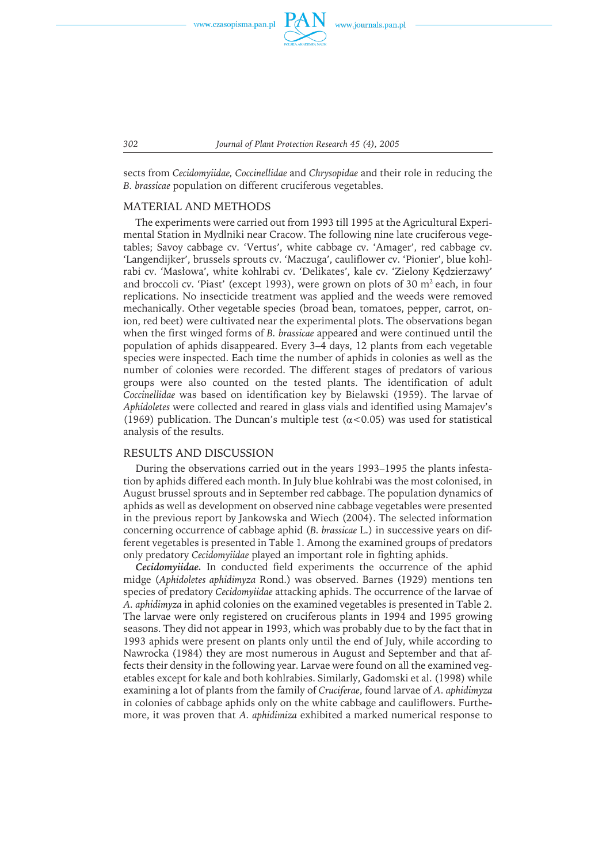

sects from *Cecidomyiidae, Coccinellidae* and *Chrysopidae* and their role in reducing the *B. brassicae* population on different cruciferous vegetables.

#### MATERIAL AND METHODS

The experiments were carried out from 1993 till 1995 at the Agricultural Experimental Station in Mydlniki near Cracow. The following nine late cruciferous vegetables; Savoy cabbage cv. 'Vertus', white cabbage cv. 'Amager', red cabbage cv. 'Langendijker', brussels sprouts cv. 'Maczuga', cauliflower cv. 'Pionier', blue kohlrabi cv. 'Masłowa', white kohlrabi cv. 'Delikates', kale cv. 'Zielony Kędzierzawy' and broccoli cv. 'Piast' (except 1993), were grown on plots of 30  $m<sup>2</sup>$  each, in four replications. No insecticide treatment was applied and the weeds were removed mechanically. Other vegetable species (broad bean, tomatoes, pepper, carrot, onion, red beet) were cultivated near the experimental plots. The observations began when the first winged forms of *B. brassicae* appeared and were continued until the population of aphids disappeared. Every 3–4 days, 12 plants from each vegetable species were inspected. Each time the number of aphids in colonies as well as the number of colonies were recorded. The different stages of predators of various groups were also counted on the tested plants. The identification of adult *Coccinellidae* was based on identification key by Bielawski (1959). The larvae of *Aphidoletes* were collected and reared in glass vials and identified using Mamajev's (1969) publication. The Duncan's multiple test ( $\alpha$ <0.05) was used for statistical analysis of the results.

#### RESULTS AND DISCUSSION

During the observations carried out in the years 1993–1995 the plants infestation by aphids differed each month. In July blue kohlrabi was the most colonised, in August brussel sprouts and in September red cabbage. The population dynamics of aphids as well as development on observed nine cabbage vegetables were presented in the previous report by Jankowska and Wiech (2004). The selected information concerning occurrence of cabbage aphid (*B. brassicae* L.) in successive years on different vegetables is presented in Table 1. Among the examined groups of predators only predatory *Cecidomyiidae* played an important role in fighting aphids.

*Cecidomyiidae.* In conducted field experiments the occurrence of the aphid midge (*Aphidoletes aphidimyza* Rond.) was observed. Barnes (1929) mentions ten species of predatory *Cecidomyiidae* attacking aphids. The occurrence of the larvae of *A. aphidimyza* in aphid colonies on the examined vegetables is presented in Table 2. The larvae were only registered on cruciferous plants in 1994 and 1995 growing seasons. They did not appear in 1993, which was probably due to by the fact that in 1993 aphids were present on plants only until the end of July, while according to Nawrocka (1984) they are most numerous in August and September and that affects their density in the following year. Larvae were found on all the examined vegetables except for kale and both kohlrabies. Similarly, Gadomski et al. (1998) while examining a lot of plants from the family of *Cruciferae*, found larvae of *A. aphidimyza* in colonies of cabbage aphids only on the white cabbage and cauliflowers. Furthemore, it was proven that *A. aphidimiza* exhibited a marked numerical response to

*302 Journal of Plant Protection Research 45 (4), 2005*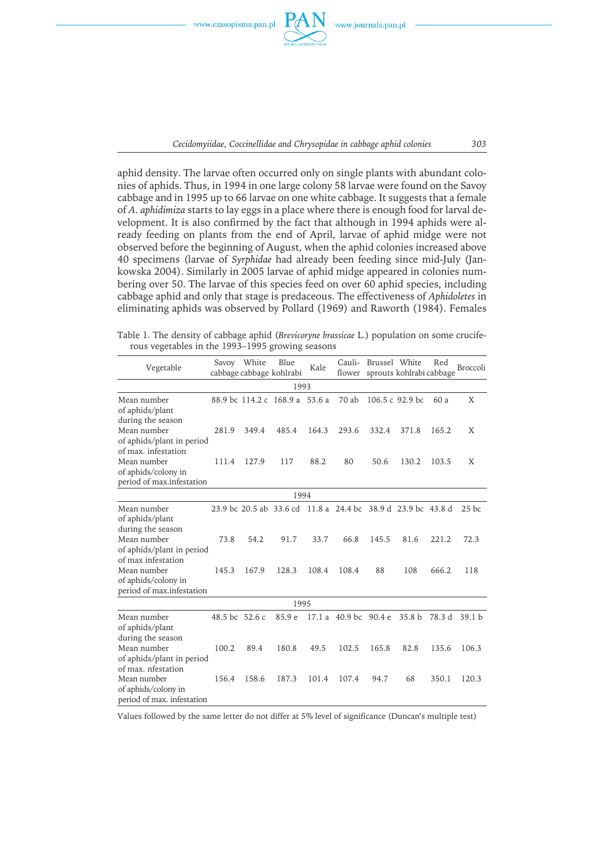

*Cecidomyiidae, Coccinellidae and Chrysopidae in cabbage aphid colonies 303*

aphid density. The larvae often occurred only on single plants with abundant colonies of aphids. Thus, in 1994 in one large colony 58 larvae were found on the Savoy cabbage and in 1995 up to 66 larvae on one white cabbage. It suggests that a female of *A. aphidimiza* starts to lay eggs in a place where there is enough food for larval development. It is also confirmed by the fact that although in 1994 aphids were already feeding on plants from the end of April, larvae of aphid midge were not observed before the beginning of August, when the aphid colonies increased above 40 specimens (larvae of *Syrphidae* had already been feeding since mid-July (Jankowska 2004). Similarly in 2005 larvae of aphid midge appeared in colonies numbering over 50. The larvae of this species feed on over 60 aphid species, including cabbage aphid and only that stage is predaceous. The effectiveness of *Aphidoletes* in eliminating aphids was observed by Pollard (1969) and Raworth (1984). Females

Table 1. The density of cabbage aphid (*Brevicoryne brassicae* L.) population on some cruciferous vegetables in the 1993–1995 growing seasons

| Vegetable                                                                              |                | Savoy White | Blue<br>cabbage cabbage kohlrabi                             | Kale  | Cauli-<br>flower   | Brussel White | sprouts kohlrabi cabbage | Red    | <b>Broccoli</b>   |
|----------------------------------------------------------------------------------------|----------------|-------------|--------------------------------------------------------------|-------|--------------------|---------------|--------------------------|--------|-------------------|
|                                                                                        |                |             | 1993                                                         |       |                    |               |                          |        |                   |
| Mean number<br>of aphids/plant                                                         |                |             | 88.9 bc 114.2 c 168.9 a 53.6 a                               |       | 70 ab              |               | 106.5 c 92.9 bc          | 60 a   | X                 |
| during the season<br>Mean number<br>of aphids/plant in period                          | 281.9          | 349.4       | 485.4                                                        | 164.3 | 293.6              | 332.4         | 371.8                    | 165.2  | X                 |
| of max. infestation<br>Mean number<br>of aphids/colony in<br>period of max.infestation | 111.4          | 127.9       | 117                                                          | 88.2  | 80                 | 50.6          | 130.2                    | 103.5  | X                 |
|                                                                                        |                |             | 1994                                                         |       |                    |               |                          |        |                   |
| Mean number<br>of aphids/plant                                                         |                |             | 23.9 bc 20.5 ab 33.6 cd 11.8 a 24.4 bc 38.9 d 23.9 bc 43.8 d |       |                    |               |                          |        | $25$ bc           |
| during the season<br>Mean number<br>of aphids/plant in period                          | 73.8           | 54.2        | 91.7                                                         | 33.7  | 66.8               | 145.5         | 81.6                     | 221.2  | 72.3              |
| of max infestation<br>Mean number<br>of aphids/colony in<br>period of max.infestation  | 145.3          | 167.9       | 128.3                                                        | 108.4 | 108.4              | 88            | 108                      | 666.2  | 118               |
|                                                                                        |                |             | 1995                                                         |       |                    |               |                          |        |                   |
| Mean number<br>of aphids/plant                                                         | 48.5 bc 52.6 c |             | 85.9 e                                                       | 17.1a | 40.9 <sub>bc</sub> | 90.4 e        | 35.8 <sub>b</sub>        | 78.3 d | 39.1 <sub>b</sub> |
| during the season<br>Mean number<br>of aphids/plant in period                          | 100.2          | 89.4        | 180.8                                                        | 49.5  | 102.5              | 165.8         | 82.8                     | 135.6  | 106.3             |
| of max. nfestation<br>Mean number<br>of aphids/colony in<br>period of max. infestation | 156.4          | 158.6       | 187.3                                                        | 101.4 | 107.4              | 94.7          | 68                       | 350.1  | 120.3             |

Values followed by the same letter do not differ at 5% level of significance (Duncan's multiple test)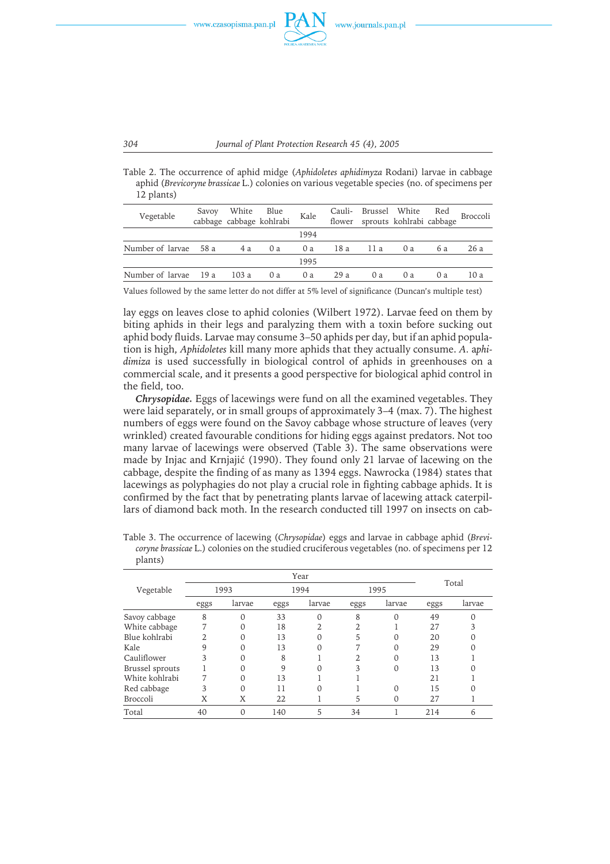

Table 2. The occurrence of aphid midge (*Aphidoletes aphidimyza* Rodani) larvae in cabbage aphid (*Brevicoryne brassicae* L.) colonies on various vegetable species (no. of specimens per 12 plants)

| Vegetable             | Savoy White Blue | cabbage cabbage kohlrabi | Kale | Cauli-  |    | Brussel White Red<br>flower sprouts kohlrabi cabbage |     | Broccoli |
|-----------------------|------------------|--------------------------|------|---------|----|------------------------------------------------------|-----|----------|
|                       |                  |                          | 1994 |         |    |                                                      |     |          |
| Number of larvae 58 a | 4 a              | 0a                       | 0 a  | 18a 11a |    | 0a                                                   | 6 a | 26 a     |
|                       |                  |                          | 1995 |         |    |                                                      |     |          |
| Number of larvae 19 a | 103 a            | 0a                       | 0a   | 29 a    | 0a | 0a                                                   | 0a  | 10 a     |

Values followed by the same letter do not differ at 5% level of significance (Duncan's multiple test)

lay eggs on leaves close to aphid colonies (Wilbert 1972). Larvae feed on them by biting aphids in their legs and paralyzing them with a toxin before sucking out aphid body fluids. Larvae may consume 3–50 aphids per day, but if an aphid population is high, *Aphidoletes* kill many more aphids that they actually consume. *A.* a*phidimiza* is used successfully in biological control of aphids in greenhouses on a commercial scale, and it presents a good perspective for biological aphid control in the field, too.

*Chrysopidae.* Eggs of lacewings were fund on all the examined vegetables. They were laid separately, or in small groups of approximately 3–4 (max. 7). The highest numbers of eggs were found on the Savoy cabbage whose structure of leaves (very wrinkled) created favourable conditions for hiding eggs against predators. Not too many larvae of lacewings were observed (Table 3). The same observations were made by Injac and Krnjajić (1990). They found only 21 larvae of lacewing on the cabbage, despite the finding of as many as 1394 eggs. Nawrocka (1984) states that lacewings as polyphagies do not play a crucial role in fighting cabbage aphids. It is confirmed by the fact that by penetrating plants larvae of lacewing attack caterpillars of diamond back moth. In the research conducted till 1997 on insects on cab-

Table 3. The occurrence of lacewing (*Chrysopidae*) eggs and larvae in cabbage aphid (*Brevicoryne brassicae* L.) colonies on the studied cruciferous vegetables (no. of specimens per 12 plants)

|                 |      |        |      | Year   |      |        |      | Total  |
|-----------------|------|--------|------|--------|------|--------|------|--------|
| Vegetable       |      | 1993   |      | 1994   |      | 1995   |      |        |
|                 | eggs | larvae | eggs | larvae | eggs | larvae | eggs | larvae |
| Savoy cabbage   | 8    |        | 33   |        | 8    | 0      | 49   |        |
| White cabbage   | 7    |        | 18   |        |      |        | 27   |        |
| Blue kohlrabi   | ◠    |        | 13   |        | 5    | 0      | 20   |        |
| Kale            | 9    |        | 13   |        |      |        | 29   |        |
| Cauliflower     | 3    |        | 8    |        |      | Ω      | 13   |        |
| Brussel sprouts |      |        | 9    |        | 3    | 0      | 13   |        |
| White kohlrabi  |      |        | 13   |        |      |        | 21   |        |
| Red cabbage     | 3    | ∩      | 11   |        |      | ∩      | 15   |        |
| <b>Broccoli</b> | Χ    | X      | 22   |        | 5    | Ω      | 27   |        |
| Total           | 40   |        | 140  | 5      | 34   |        | 214  | n      |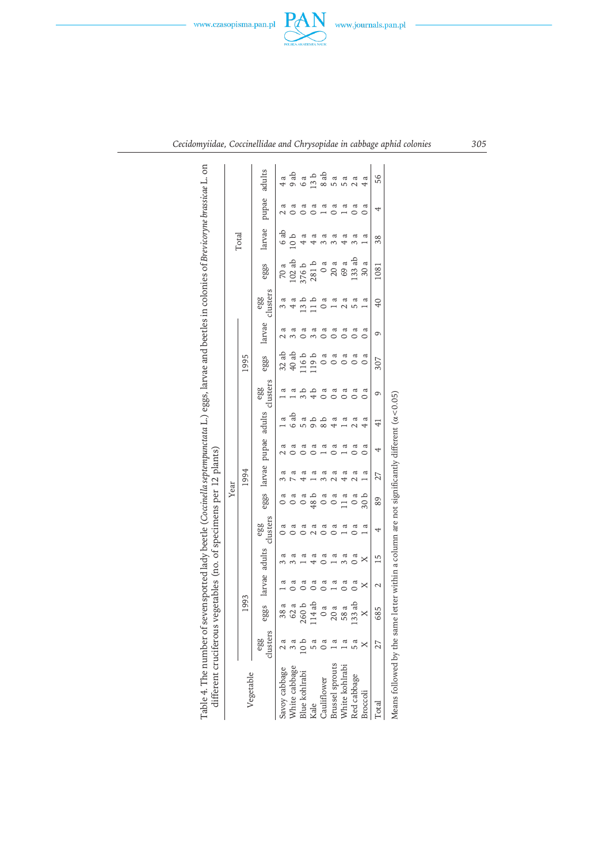



|                                   |                 |          |                    |          |                 | Year     |                     |                |               |                 |          |        |                 |         |                 |          |               |
|-----------------------------------|-----------------|----------|--------------------|----------|-----------------|----------|---------------------|----------------|---------------|-----------------|----------|--------|-----------------|---------|-----------------|----------|---------------|
| Vegetable                         |                 | 1993     |                    |          |                 |          | 1994                |                |               |                 | 1995     |        |                 |         | Total           |          |               |
|                                   | clusters<br>egg |          | eggs larvae adults |          | clusters<br>egg | eggs     | larvae pupae adults |                |               | clusters<br>egg | eggs     | larvae | clusters<br>egg | eggs    | larvae          | pupae    | adults        |
|                                   |                 | 38a      | ದ                  | ದ        |                 |          | ದ                   |                | ದ             | ದ               | 32ab     |        |                 | 70 a    | 6ab             |          |               |
| Savoy cabbage<br>White cabbage    |                 | 62 a     | a<br>O             | ದ        |                 |          | ದ                   |                | 6ab           |                 | 40 ab    |        | 4a              | 102ab   | 10 <sub>b</sub> |          | 9ab           |
| Blue kohlrabi                     |                 | 260b     | 0 a                | ದ        |                 |          | ß                   |                | ದ             |                 | 116b     |        | 13 b            | 376b    |                 |          | 6 a           |
| Kale                              |                 | 114 ab   | a<br>O             | ದ        | ದ               | 48 b     | ದ                   | a<br>O         | م<br>م        |                 | 119b     | ದ      | d L             | 281b    | ದ               | $\alpha$ | 13 b          |
| Cauliflower                       |                 | $\sigma$ | o a                | a<br>O   | ದ               |          | ದ                   |                |               | ದ               | ದ        | ದ      | a<br>O          | $\circ$ | ದ               | £        | 8ab           |
|                                   |                 | 20a      | ದ                  | ದ        | $\mathfrak{g}$  | $\alpha$ | ದ                   | <sub>ጨ</sub>   | ದ             | а               | ದ        | ದ      | ದ               | 20a     | a               | ದ        | 5 a           |
| Brussel sprouts<br>White kohlrabi |                 | 58 a     | $\alpha$           | ದ        |                 |          | ದ                   |                | a             |                 | ದ        | ದ      | ದ               | 69 a    | ದ               | ದ        | 5 a           |
| Red cabbage                       |                 | 133 ab   | $\alpha$           | $\alpha$ | o a             | $\alpha$ | ದ<br>$\mathcal{L}$  | $\mathfrak{a}$ | ದ             |                 | $\alpha$ | ದ      | ದ               | 133 ab  | ದ               | ದ        | $\frac{a}{2}$ |
| Broccoli                          |                 | ×        | ×                  | ×        | ದ               | 30b      | ದ                   | a<br>O         | ದ             | ದ               | a        | а      | ದ               | 30a     | a               | a        | ದ             |
| Total                             |                 | 685      | $\scriptstyle\sim$ | 15       | 4               | 89       | 27                  | 4              | $\frac{1}{4}$ | 9               | 307      | 0      | $\overline{6}$  | 1081    | 38              | 4        | 56            |

*Cecidomyiidae, Coccinellidae and Chrysopidae in cabbage aphid colonies 305*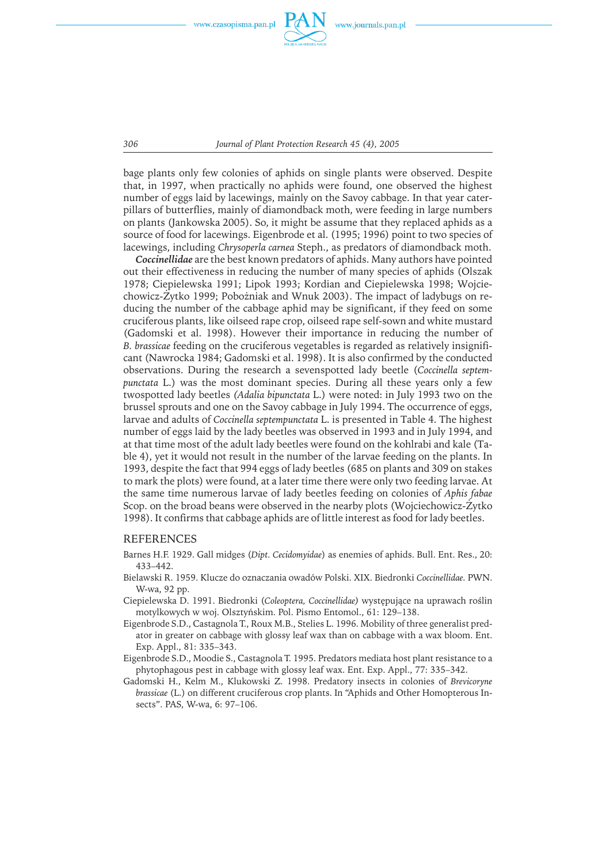

*306 Journal of Plant Protection Research 45 (4), 2005*

bage plants only few colonies of aphids on single plants were observed. Despite that, in 1997, when practically no aphids were found, one observed the highest number of eggs laid by lacewings, mainly on the Savoy cabbage. In that year caterpillars of butterflies, mainly of diamondback moth, were feeding in large numbers on plants (Jankowska 2005). So, it might be assume that they replaced aphids as a source of food for lacewings. Eigenbrode et al. (1995; 1996) point to two species of lacewings, including *Chrysoperla carnea* Steph., as predators of diamondback moth.

*Coccinellidae* are the best known predators of aphids. Many authors have pointed out their effectiveness in reducing the number of many species of aphids (Olszak 1978; Ciepielewska 1991; Lipok 1993; Kordian and Ciepielewska 1998; Wojciechowicz-Żytko 1999; Pobożniak and Wnuk 2003). The impact of ladybugs on reducing the number of the cabbage aphid may be significant, if they feed on some cruciferous plants, like oilseed rape crop, oilseed rape self-sown and white mustard (Gadomski et al. 1998). However their importance in reducing the number of *B. brassicae* feeding on the cruciferous vegetables is regarded as relatively insignificant (Nawrocka 1984; Gadomski et al. 1998). It is also confirmed by the conducted observations. During the research a sevenspotted lady beetle (*Coccinella septempunctata* L.) was the most dominant species. During all these years only a few twospotted lady beetles *(Adalia bipunctata* L.) were noted: in July 1993 two on the brussel sprouts and one on the Savoy cabbage in July 1994. The occurrence of eggs, larvae and adults of *Coccinella septempunctata* L. is presented in Table 4. The highest number of eggs laid by the lady beetles was observed in 1993 and in July 1994, and at that time most of the adult lady beetles were found on the kohlrabi and kale (Table 4), yet it would not result in the number of the larvae feeding on the plants. In 1993, despite the fact that 994 eggs of lady beetles (685 on plants and 309 on stakes to mark the plots) were found, at a later time there were only two feeding larvae. At the same time numerous larvae of lady beetles feeding on colonies of *Aphis fabae* Scop. on the broad beans were observed in the nearby plots (Wojciechowicz-Żytko 1998). It confirms that cabbage aphids are of little interest as food for lady beetles.

#### REFERENCES

- Barnes H.F. 1929. Gall midges (*Dipt. Cecidomyidae*) as enemies of aphids. Bull. Ent. Res., 20: 433–442.
- Bielawski R. 1959. Klucze do oznaczania owadów Polski. XIX. Biedronki *Coccinellidae.* PWN. W-wa, 92 pp.
- Ciepielewska D. 1991. Biedronki (*Coleoptera, Coccinellidae)* występujące na uprawach roślin motylkowych w woj. Olsztyńskim. Pol. Pismo Entomol., 61: 129–138.
- Eigenbrode S.D., Castagnola T., Roux M.B., Stelies L. 1996. Mobility of three generalist predator in greater on cabbage with glossy leaf wax than on cabbage with a wax bloom. Ent. Exp. Appl., 81: 335–343.
- Eigenbrode S.D., Moodie S., Castagnola T. 1995. Predators mediata host plant resistance to a phytophagous pest in cabbage with glossy leaf wax. Ent. Exp. Appl., 77: 335–342.
- Gadomski H., Kelm M., Klukowski Z. 1998. Predatory insects in colonies of *Brevicoryne brassicae* (L.) on different cruciferous crop plants. In "Aphids and Other Homopterous Insects". PAS, W-wa, 6: 97–106.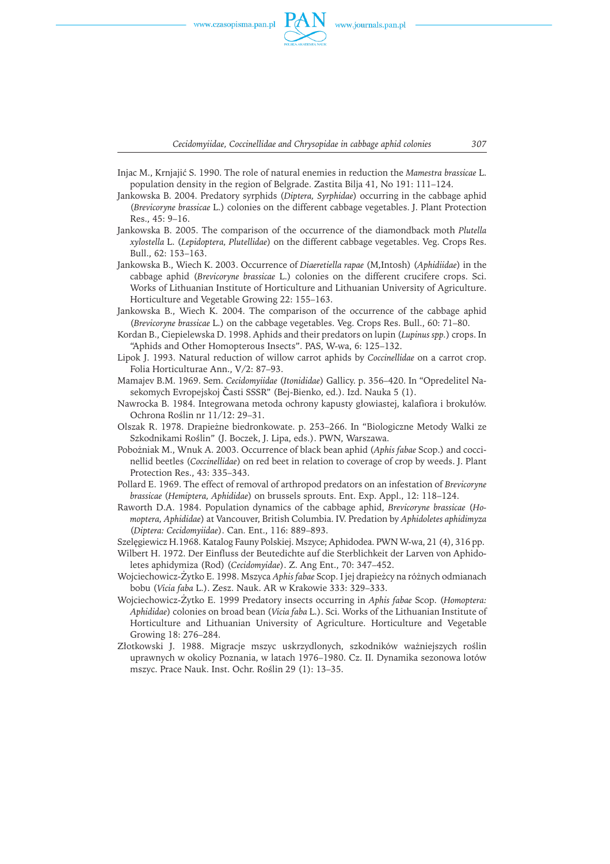

*Cecidomyiidae, Coccinellidae and Chrysopidae in cabbage aphid colonies 307*

- Injac M., Krnjajić S. 1990. The role of natural enemies in reduction the *Mamestra brassicae* L. population density in the region of Belgrade. Zastita Bilja 41, No 191: 111–124.
- Jankowska B. 2004. Predatory syrphids (*Diptera, Syrphidae*) occurring in the cabbage aphid (*Brevicoryne brassicae* L.) colonies on the different cabbage vegetables. J. Plant Protection Res., 45: 9–16.
- Jankowska B. 2005. The comparison of the occurrence of the diamondback moth *Plutella xylostella* L. (*Lepidoptera, Plutellidae*) on the different cabbage vegetables. Veg. Crops Res. Bull., 62: 153–163.
- Jankowska B., Wiech K. 2003. Occurrence of *Diaeretiella rapae* (M,Intosh) (*Aphidiidae*) in the cabbage aphid (*Brevicoryne brassicae* L.) colonies on the different crucifere crops. Sci. Works of Lithuanian Institute of Horticulture and Lithuanian University of Agriculture. Horticulture and Vegetable Growing 22: 155–163.
- Jankowska B., Wiech K. 2004. The comparison of the occurrence of the cabbage aphid (*Brevicoryne brassicae* L.) on the cabbage vegetables. Veg. Crops Res. Bull., 60: 71–80.
- Kordan B., Ciepielewska D. 1998. Aphids and their predators on lupin (*Lupinus spp.*) crops. In "Aphids and Other Homopterous Insects". PAS, W-wa, 6: 125–132.
- Lipok J. 1993. Natural reduction of willow carrot aphids by *Coccinellidae* on a carrot crop. Folia Horticulturae Ann., V/2: 87–93.
- MamajevB.M. 1969. Sem. *Cecidomyiidae* (*Itonididae*) Gallicy. p. 356–420. In "Opredelitel Nasekomych Evropejskoj Časti SSSR" (Bej-Bienko, ed.). Izd. Nauka 5 (1).
- Nawrocka B. 1984. Integrowana metoda ochrony kapusty głowiastej, kalafiora i brokułów. Ochrona Roślin nr 11/12: 29–31.
- Olszak R. 1978. Drapieżne biedronkowate. p. 253–266. In "Biologiczne Metody Walki ze Szkodnikami Roślin" (J. Boczek, J. Lipa, eds.). PWN, Warszawa.
- Pobożniak M., Wnuk A. 2003. Occurrence of black bean aphid (*Aphis fabae* Scop.) and coccinellid beetles (*Coccinellidae*) on red beet in relation to coverage of crop by weeds. J. Plant Protection Res., 43: 335–343.
- Pollard E. 1969. The effect of removal of arthropod predators on an infestation of *Brevicoryne brassicae* (*Hemiptera, Aphididae*) on brussels sprouts. Ent. Exp. Appl., 12: 118–124.
- Raworth D.A. 1984. Population dynamics of the cabbage aphid, *Brevicoryne brassicae* (*Homoptera, Aphididae*) at Vancouver, British Columbia. IV. Predation by *Aphidoletes aphidimyza* (*Diptera: Cecidomyiidae*). Can. Ent., 116: 889–893.

Szelęgiewicz H.1968. Katalog Fauny Polskiej. Mszyce; Aphidodea. PWN W-wa, 21 (4), 316 pp.

- Wilbert H. 1972. Der Einfluss der Beutedichte auf die Sterblichkeit der Larven von Aphidoletes aphidymiza (Rod) (*Cecidomyidae*). Z. Ang Ent., 70: 347–452.
- Wojciechowicz-Żytko E. 1998. Mszyca *Aphis fabae* Scop. I jej drapieżcy na różnych odmianach bobu (*Vicia faba* L.). Zesz. Nauk. AR w Krakowie 333: 329–333.
- Wojciechowicz-Żytko E. 1999 Predatory insects occurring in *Aphis fabae* Scop. (*Homoptera: Aphididae*) colonies on broad bean (*Vicia faba* L.). Sci. Works of the Lithuanian Institute of Horticulture and Lithuanian University of Agriculture. Horticulture and Vegetable Growing 18: 276–284.
- Złotkowski J. 1988. Migracje mszyc uskrzydlonych, szkodników ważniejszych roślin uprawnych w okolicy Poznania, w latach 1976–1980. Cz. II. Dynamika sezonowa lotów mszyc. Prace Nauk. Inst. Ochr. Roślin 29 (1): 13–35.